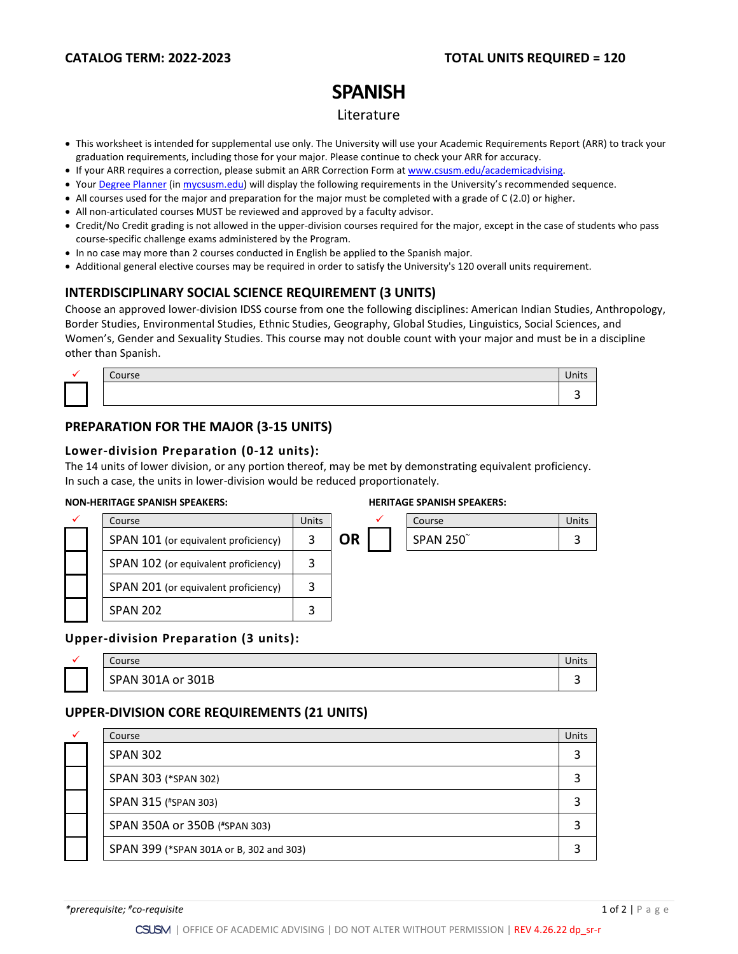## **CATALOG TERM: 2022-2023 TOTAL UNITS REQUIRED = 120**

# **SPANISH**

#### Literature

- This worksheet is intended for supplemental use only. The University will use your Academic Requirements Report (ARR) to track your graduation requirements, including those for your major. Please continue to check your ARR for accuracy.
- If your ARR requires a correction, please submit an [ARR Correction Form](http://www.csusm.edu/academicadvising/arrcorrection/index.html) a[t www.csusm.edu/academicadvising.](http://www.csusm.edu/academicadvising)
- You[r Degree Planner](https://www.csusm.edu/academicadvising/degreeplanner/index.html) (i[n mycsusm.edu\)](https://my.csusm.edu/) will display the following requirements in the University's recommended sequence.
- All courses used for the major and preparation for the major must be completed with a grade of C (2.0) or higher.
- All non-articulated courses MUST be reviewed and approved by a faculty advisor.
- Credit/No Credit grading is not allowed in the upper-division courses required for the major, except in the case of students who pass course-specific challenge exams administered by the Program.
- In no case may more than 2 courses conducted in English be applied to the Spanish major.
- Additional general elective courses may be required in order to satisfy the University's 120 overall units requirement.

## **INTERDISCIPLINARY SOCIAL SCIENCE REQUIREMENT (3 UNITS)**

Choose an approved lower-division IDSS course from one the following disciplines: American Indian Studies, Anthropology, Border Studies, Environmental Studies, Ethnic Studies, Geography, Global Studies, Linguistics, Social Sciences, and Women's, Gender and Sexuality Studies. This course may not double count with your major and must be in a discipline other than Spanish.

| Course | Units |
|--------|-------|
|        |       |

## **PREPARATION FOR THE MAJOR (3-15 UNITS)**

#### **Lower-division Preparation (0-12 units):**

The 14 units of lower division, or any portion thereof, may be met by demonstrating equivalent proficiency. In such a case, the units in lower-division would be reduced proportionately.

#### **NON-HERITAGE SPANISH SPEAKERS: HERITAGE SPANISH SPEAKERS:**

|  | Course                               | Units |    | Course          | Units |
|--|--------------------------------------|-------|----|-----------------|-------|
|  | SPAN 101 (or equivalent proficiency) | 3     | OR | <b>SPAN 250</b> |       |
|  | SPAN 102 (or equivalent proficiency) | 3     |    |                 |       |
|  | SPAN 201 (or equivalent proficiency) | 3     |    |                 |       |
|  | <b>SPAN 202</b>                      | 3     |    |                 |       |

#### **Upper-division Preparation (3 units):**

| $\sim$<br>Course     | Units |
|----------------------|-------|
| SPAN 301A or<br>301B | س     |

### **UPPER-DIVISION CORE REQUIREMENTS (21 UNITS)**

| ✓ | Course                                  | Units |
|---|-----------------------------------------|-------|
|   | <b>SPAN 302</b>                         |       |
|   | SPAN 303 (*SPAN 302)                    |       |
|   | SPAN 315 (#SPAN 303)                    |       |
|   | SPAN 350A or 350B (#SPAN 303)           |       |
|   | SPAN 399 (*SPAN 301A or B, 302 and 303) |       |